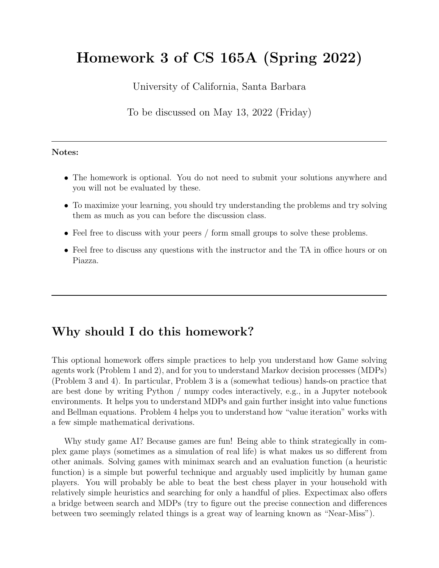# Homework 3 of CS 165A (Spring 2022)

University of California, Santa Barbara

To be discussed on May 13, 2022 (Friday)

#### Notes:

- The homework is optional. You do not need to submit your solutions anywhere and you will not be evaluated by these.
- To maximize your learning, you should try understanding the problems and try solving them as much as you can before the discussion class.
- Feel free to discuss with your peers / form small groups to solve these problems.
- Feel free to discuss any questions with the instructor and the TA in office hours or on Piazza.

#### Why should I do this homework?

This optional homework offers simple practices to help you understand how Game solving agents work (Problem 1 and 2), and for you to understand Markov decision processes (MDPs) (Problem 3 and 4). In particular, Problem 3 is a (somewhat tedious) hands-on practice that are best done by writing Python / numpy codes interactively, e.g., in a Jupyter notebook environments. It helps you to understand MDPs and gain further insight into value functions and Bellman equations. Problem 4 helps you to understand how "value iteration" works with a few simple mathematical derivations.

Why study game AI? Because games are fun! Being able to think strategically in complex game plays (sometimes as a simulation of real life) is what makes us so different from other animals. Solving games with minimax search and an evaluation function (a heuristic function) is a simple but powerful technique and arguably used implicitly by human game players. You will probably be able to beat the best chess player in your household with relatively simple heuristics and searching for only a handful of plies. Expectimax also offers a bridge between search and MDPs (try to figure out the precise connection and differences between two seemingly related things is a great way of learning known as "Near-Miss").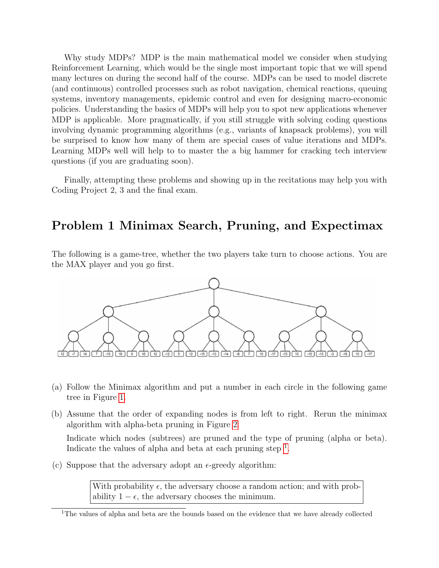Why study MDPs? MDP is the main mathematical model we consider when studying Reinforcement Learning, which would be the single most important topic that we will spend many lectures on during the second half of the course. MDPs can be used to model discrete (and continuous) controlled processes such as robot navigation, chemical reactions, queuing systems, inventory managements, epidemic control and even for designing macro-economic policies. Understanding the basics of MDPs will help you to spot new applications whenever MDP is applicable. More pragmatically, if you still struggle with solving coding questions involving dynamic programming algorithms (e.g., variants of knapsack problems), you will be surprised to know how many of them are special cases of value iterations and MDPs. Learning MDPs well will help to to master the a big hammer for cracking tech interview questions (if you are graduating soon).

Finally, attempting these problems and showing up in the recitations may help you with Coding Project 2, 3 and the final exam.

### Problem 1 Minimax Search, Pruning, and Expectimax

The following is a game-tree, whether the two players take turn to choose actions. You are the MAX player and you go first.



- (a) Follow the Minimax algorithm and put a number in each circle in the following game tree in Figure [1.](#page-3-0)
- (b) Assume that the order of expanding nodes is from left to right. Rerun the minimax algorithm with alpha-beta pruning in Figure [2](#page-3-0)

Indicate which nodes (subtrees) are pruned and the type of pruning (alpha or beta). Indicate the values of alpha and beta at each pruning step  $<sup>1</sup>$  $<sup>1</sup>$  $<sup>1</sup>$ .</sup>

(c) Suppose that the adversary adopt an  $\epsilon$ -greedy algorithm:

With probability  $\epsilon$ , the adversary choose a random action; and with probability  $1 - \epsilon$ , the adversary chooses the minimum.

<span id="page-1-0"></span><sup>&</sup>lt;sup>1</sup>The values of alpha and beta are the bounds based on the evidence that we have already collected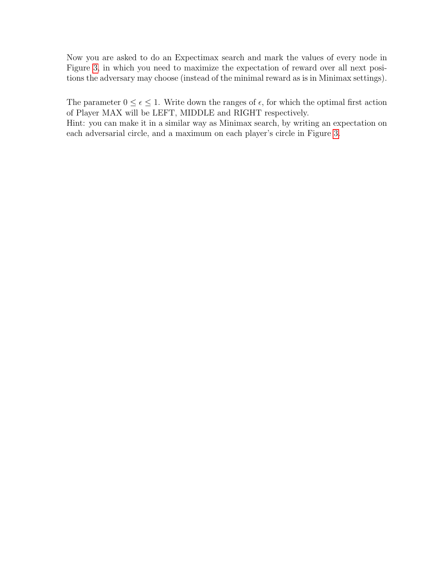Now you are asked to do an Expectimax search and mark the values of every node in Figure [3,](#page-3-0) in which you need to maximize the expectation of reward over all next positions the adversary may choose (instead of the minimal reward as is in Minimax settings).

The parameter  $0 \leq \epsilon \leq 1$ . Write down the ranges of  $\epsilon$ , for which the optimal first action of Player MAX will be LEFT, MIDDLE and RIGHT respectively.

Hint: you can make it in a similar way as Minimax search, by writing an expectation on each adversarial circle, and a maximum on each player's circle in Figure [3.](#page-3-0)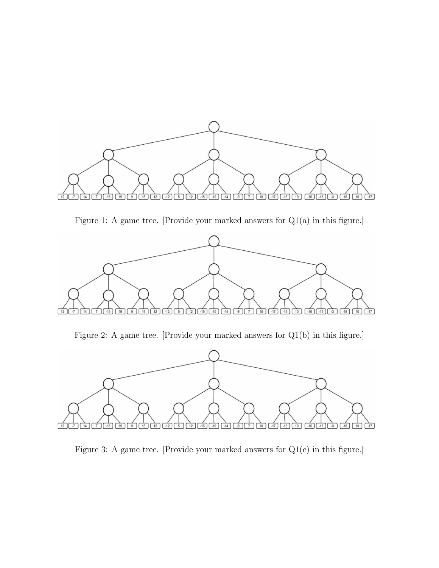<span id="page-3-0"></span>

Figure 1: A game tree. [Provide your marked answers for Q1(a) in this figure.]



Figure 2: A game tree. [Provide your marked answers for Q1(b) in this figure.]



Figure 3: A game tree. [Provide your marked answers for Q1(c) in this figure.]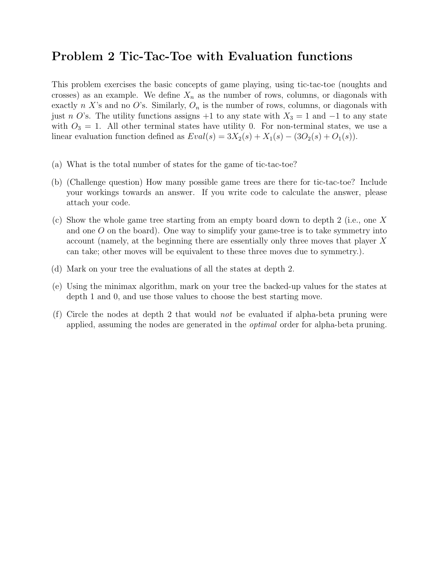#### Problem 2 Tic-Tac-Toe with Evaluation functions

This problem exercises the basic concepts of game playing, using tic-tac-toe (noughts and crosses) as an example. We define  $X_n$  as the number of rows, columns, or diagonals with exactly n X's and no O's. Similarly,  $O_n$  is the number of rows, columns, or diagonals with just n O's. The utility functions assigns +1 to any state with  $X_3 = 1$  and  $-1$  to any state with  $O_3 = 1$ . All other terminal states have utility 0. For non-terminal states, we use a linear evaluation function defined as  $Eval(s) = 3X_2(s) + X_1(s) - (3O_2(s) + O_1(s))$ .

- (a) What is the total number of states for the game of tic-tac-toe?
- (b) (Challenge question) How many possible game trees are there for tic-tac-toe? Include your workings towards an answer. If you write code to calculate the answer, please attach your code.
- (c) Show the whole game tree starting from an empty board down to depth 2 (i.e., one X and one  $O$  on the board). One way to simplify your game-tree is to take symmetry into account (namely, at the beginning there are essentially only three moves that player X can take; other moves will be equivalent to these three moves due to symmetry.).
- (d) Mark on your tree the evaluations of all the states at depth 2.
- (e) Using the minimax algorithm, mark on your tree the backed-up values for the states at depth 1 and 0, and use those values to choose the best starting move.
- (f) Circle the nodes at depth 2 that would *not* be evaluated if alpha-beta pruning were applied, assuming the nodes are generated in the optimal order for alpha-beta pruning.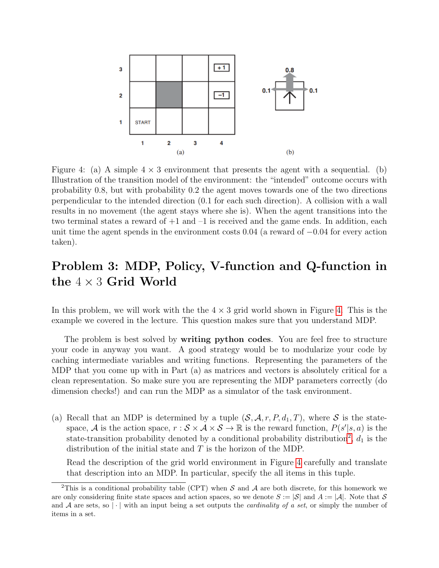<span id="page-5-0"></span>

Figure 4: (a) A simple  $4 \times 3$  environment that presents the agent with a sequential. (b) Illustration of the transition model of the environment: the "intended" outcome occurs with probability 0.8, but with probability 0.2 the agent moves towards one of the two directions perpendicular to the intended direction (0.1 for each such direction). A collision with a wall results in no movement (the agent stays where she is). When the agent transitions into the two terminal states a reward of  $+1$  and  $-1$  is received and the game ends. In addition, each unit time the agent spends in the environment costs 0.04 (a reward of −0.04 for every action taken).

# Problem 3: MDP, Policy, V-function and Q-function in the  $4 \times 3$  Grid World

In this problem, we will work with the the  $4 \times 3$  grid world shown in Figure [4.](#page-5-0) This is the example we covered in the lecture. This question makes sure that you understand MDP.

The problem is best solved by **writing python codes**. You are feel free to structure your code in anyway you want. A good strategy would be to modularize your code by caching intermediate variables and writing functions. Representing the parameters of the MDP that you come up with in Part (a) as matrices and vectors is absolutely critical for a clean representation. So make sure you are representing the MDP parameters correctly (do dimension checks!) and can run the MDP as a simulator of the task environment.

(a) Recall that an MDP is determined by a tuple  $(S, \mathcal{A}, r, P, d_1, T)$ , where S is the statespace, A is the action space,  $r : \mathcal{S} \times \mathcal{A} \times \mathcal{S} \to \mathbb{R}$  is the reward function,  $P(s'|s, a)$  is the state-transition probability denoted by a conditional probability distribution<sup>[2](#page-5-1)</sup>,  $d_1$  is the distribution of the initial state and  $T$  is the horizon of the MDP.

Read the description of the grid world environment in Figure [4](#page-5-0) carefully and translate that description into an MDP. In particular, specify the all items in this tuple.

<span id="page-5-1"></span><sup>&</sup>lt;sup>2</sup>This is a conditional probability table (CPT) when S and A are both discrete, for this homework we are only considering finite state spaces and action spaces, so we denote  $S := |\mathcal{S}|$  and  $A := |\mathcal{A}|$ . Note that S and A are sets, so |  $\cdot$  | with an input being a set outputs the *cardinality of a set*, or simply the number of items in a set.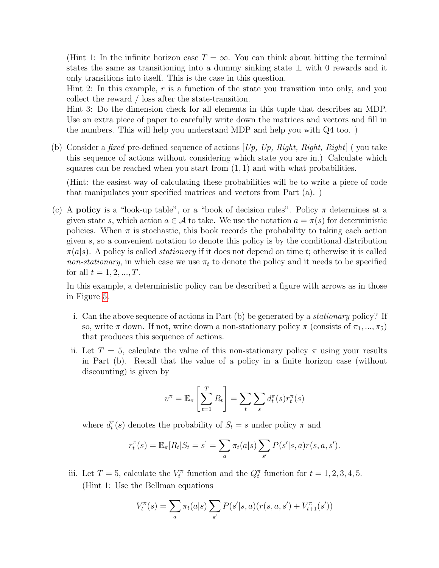(Hint 1: In the infinite horizon case  $T = \infty$ . You can think about hitting the terminal states the same as transitioning into a dummy sinking state ⊥ with 0 rewards and it only transitions into itself. This is the case in this question.

Hint 2: In this example,  $r$  is a function of the state you transition into only, and you collect the reward / loss after the state-transition.

Hint 3: Do the dimension check for all elements in this tuple that describes an MDP. Use an extra piece of paper to carefully write down the matrices and vectors and fill in the numbers. This will help you understand MDP and help you with Q4 too. )

(b) Consider a fixed pre-defined sequence of actions  $[U_p, U_p, Right, Right, Right]$  ( you take this sequence of actions without considering which state you are in.) Calculate which squares can be reached when you start from  $(1, 1)$  and with what probabilities.

(Hint: the easiest way of calculating these probabilities will be to write a piece of code that manipulates your specified matrices and vectors from Part (a). )

(c) A **policy** is a "look-up table", or a "book of decision rules". Policy  $\pi$  determines at a given state s, which action  $a \in \mathcal{A}$  to take. We use the notation  $a = \pi(s)$  for deterministic policies. When  $\pi$  is stochastic, this book records the probability to taking each action given s, so a convenient notation to denote this policy is by the conditional distribution  $\pi(a|s)$ . A policy is called *stationary* if it does not depend on time t; otherwise it is called non-stationary, in which case we use  $\pi_t$  to denote the policy and it needs to be specified for all  $t = 1, 2, ..., T$ .

In this example, a deterministic policy can be described a figure with arrows as in those in Figure [5.](#page-7-0)

- i. Can the above sequence of actions in Part (b) be generated by a stationary policy? If so, write  $\pi$  down. If not, write down a non-stationary policy  $\pi$  (consists of  $\pi_1, ..., \pi_5$ ) that produces this sequence of actions.
- ii. Let  $T = 5$ , calculate the value of this non-stationary policy  $\pi$  using your results in Part (b). Recall that the value of a policy in a finite horizon case (without discounting) is given by

$$
v^{\pi} = \mathbb{E}_{\pi} \left[ \sum_{t=1}^{T} R_t \right] = \sum_{t} \sum_{s} d_t^{\pi}(s) r_t^{\pi}(s)
$$

where  $d_t^{\pi}(s)$  denotes the probability of  $S_t = s$  under policy  $\pi$  and

$$
r_t^{\pi}(s) = \mathbb{E}_{\pi}[R_t|S_t = s] = \sum_a \pi_t(a|s) \sum_{s'} P(s'|s, a)r(s, a, s').
$$

iii. Let  $T = 5$ , calculate the  $V_t^{\pi}$  function and the  $Q_t^{\pi}$  function for  $t = 1, 2, 3, 4, 5$ . (Hint 1: Use the Bellman equations

$$
V_t^{\pi}(s) = \sum_a \pi_t(a|s) \sum_{s'} P(s'|s, a) (r(s, a, s') + V_{t+1}^{\pi}(s'))
$$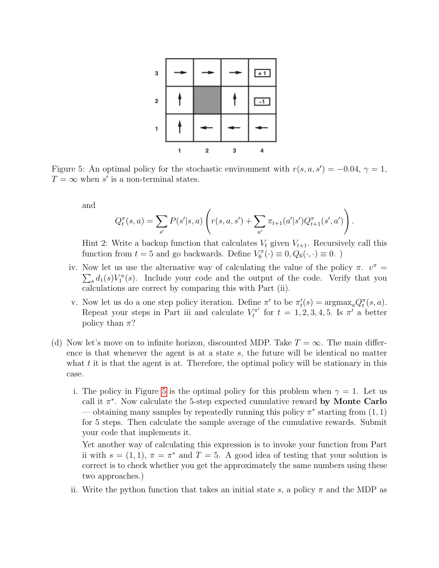<span id="page-7-0"></span>

Figure 5: An optimal policy for the stochastic environment with  $r(s, a, s') = -0.04$ ,  $\gamma = 1$ ,  $T = \infty$  when s' is a non-terminal states.

and

$$
Q_t^{\pi}(s, a) = \sum_{s'} P(s'|s, a) \left( r(s, a, s') + \sum_{a'} \pi_{t+1}(a'|s') Q_{t+1}^{\pi}(s', a') \right).
$$

Hint 2: Write a backup function that calculates  $V_t$  given  $V_{t+1}$ . Recursively call this function from  $t = 5$  and go backwards. Define  $V_6^{\pi}(\cdot) \equiv 0, Q_6(\cdot, \cdot) \equiv 0$ .

- iv. Now let us use the alternative way of calculating the value of the policy  $\pi$ .  $v^{\pi}$  =  $\sum_s d_1(s) V_1^{\pi}(s)$ . Include your code and the output of the code. Verify that you calculations are correct by comparing this with Part (ii).
- v. Now let us do a one step policy iteration. Define  $\pi'$  to be  $\pi'_t(s) = \text{argmax}_a Q_t^{\pi}(s, a)$ . Repeat your steps in Part iii and calculate  $V_t^{\pi'}$  $t_t^{\pi}$  for  $t = 1, 2, 3, 4, 5$ . Is  $\pi'$  a better policy than  $\pi$ ?
- (d) Now let's move on to infinite horizon, discounted MDP. Take  $T = \infty$ . The main difference is that whenever the agent is at a state s, the future will be identical no matter what  $t$  it is that the agent is at. Therefore, the optimal policy will be stationary in this case.
	- i. The policy in Figure [5](#page-7-0) is the optimal policy for this problem when  $\gamma = 1$ . Let us call it  $\pi^*$ . Now calculate the 5-step expected cumulative reward by Monte Carlo — obtaining many samples by repeatedly running this policy  $\pi^*$  starting from  $(1, 1)$ for 5 steps. Then calculate the sample average of the cumulative rewards. Submit your code that implements it.

Yet another way of calculating this expression is to invoke your function from Part ii with  $s = (1, 1)$ ,  $\pi = \pi^*$  and  $T = 5$ . A good idea of testing that your solution is correct is to check whether you get the approximately the same numbers using these two approaches.)

ii. Write the python function that takes an initial state s, a policy  $\pi$  and the MDP as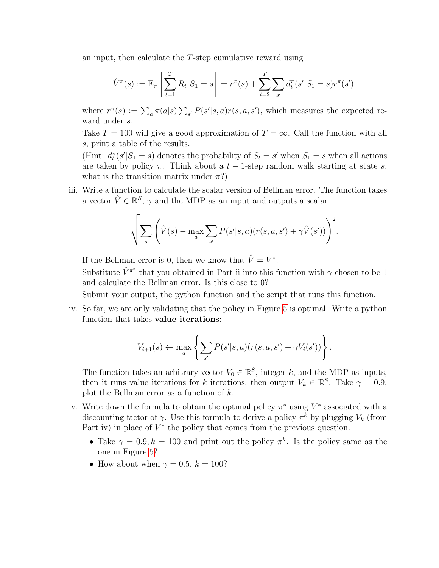an input, then calculate the T-step cumulative reward using

$$
\hat{V}^{\pi}(s) := \mathbb{E}_{\pi} \left[ \sum_{t=1}^{T} R_t \middle| S_1 = s \right] = r^{\pi}(s) + \sum_{t=2}^{T} \sum_{s'} d_t^{\pi}(s'|S_1 = s)r^{\pi}(s').
$$

where  $r^{\pi}(s) := \sum_{a} \pi(a|s) \sum_{s'} P(s'|s, a) r(s, a, s')$ , which measures the expected reward under s.

Take  $T = 100$  will give a good approximation of  $T = \infty$ . Call the function with all s, print a table of the results.

(Hint:  $d_t^{\pi}(s'|S_1 = s)$  denotes the probability of  $S_t = s'$  when  $S_1 = s$  when all actions are taken by policy  $\pi$ . Think about a  $t - 1$ -step random walk starting at state s, what is the transition matrix under  $\pi$ ?)

iii. Write a function to calculate the scalar version of Bellman error. The function takes a vector  $\hat{V} \in \mathbb{R}^S$ ,  $\gamma$  and the MDP as an input and outputs a scalar

$$
\sqrt{\sum_{s} \left(\hat{V}(s) - \max_{a} \sum_{s'} P(s'|s, a)(r(s, a, s') + \gamma \hat{V}(s'))\right)^2}.
$$

If the Bellman error is 0, then we know that  $\hat{V} = V^*$ .

Substitute  $\hat{V}^{\pi^*}$  that you obtained in Part ii into this function with  $\gamma$  chosen to be 1 and calculate the Bellman error. Is this close to 0?

Submit your output, the python function and the script that runs this function.

iv. So far, we are only validating that the policy in Figure [5](#page-7-0) is optimal. Write a python function that takes value iterations:

$$
V_{i+1}(s) \leftarrow \max_{a} \left\{ \sum_{s'} P(s'|s,a) (r(s,a,s') + \gamma V_i(s')) \right\}.
$$

The function takes an arbitrary vector  $V_0 \in \mathbb{R}^S$ , integer k, and the MDP as inputs, then it runs value iterations for k iterations, then output  $V_k \in \mathbb{R}^S$ . Take  $\gamma = 0.9$ , plot the Bellman error as a function of k.

- v. Write down the formula to obtain the optimal policy  $\pi^*$  using  $V^*$  associated with a discounting factor of  $\gamma$ . Use this formula to derive a policy  $\pi^k$  by plugging  $V_k$  (from Part iv) in place of  $V^*$  the policy that comes from the previous question.
	- Take  $\gamma = 0.9, k = 100$  and print out the policy  $\pi^k$ . Is the policy same as the one in Figure [5?](#page-7-0)
	- How about when  $\gamma = 0.5, k = 100$ ?